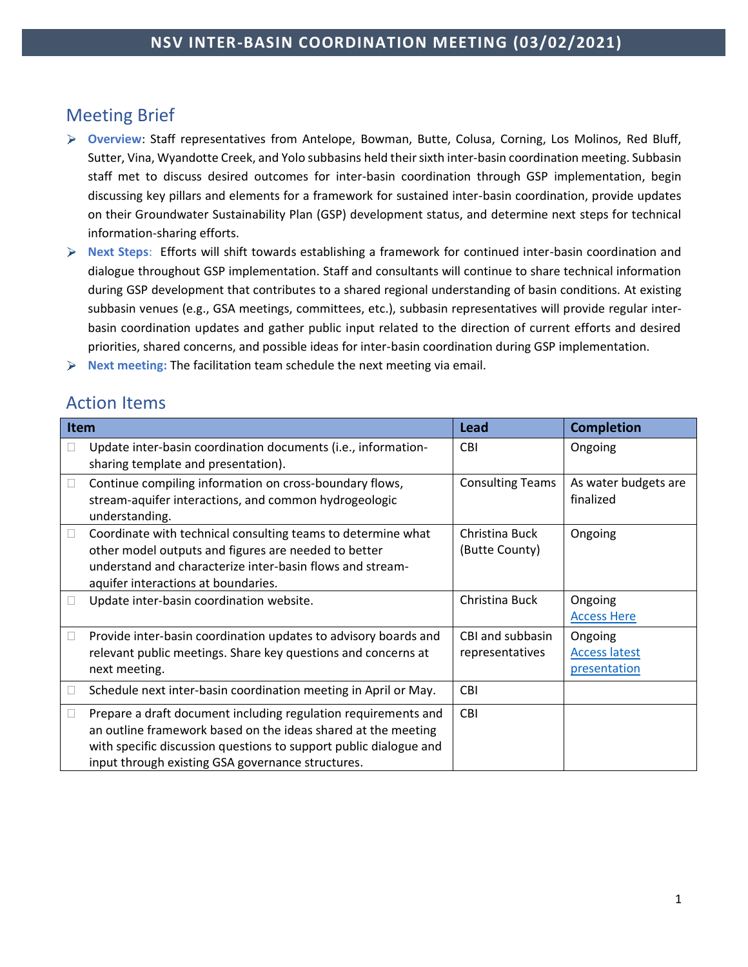# Meeting Brief

- **Overview**: Staff representatives from Antelope, Bowman, Butte, Colusa, Corning, Los Molinos, Red Bluff, Sutter, Vina, Wyandotte Creek, and Yolo subbasins held their sixth inter-basin coordination meeting. Subbasin staff met to discuss desired outcomes for inter-basin coordination through GSP implementation, begin discussing key pillars and elements for a framework for sustained inter-basin coordination, provide updates on their Groundwater Sustainability Plan (GSP) development status, and determine next steps for technical information-sharing efforts.
- **Next Steps**: Efforts will shift towards establishing a framework for continued inter-basin coordination and dialogue throughout GSP implementation. Staff and consultants will continue to share technical information during GSP development that contributes to a shared regional understanding of basin conditions. At existing subbasin venues (e.g., GSA meetings, committees, etc.), subbasin representatives will provide regular interbasin coordination updates and gather public input related to the direction of current efforts and desired priorities, shared concerns, and possible ideas for inter-basin coordination during GSP implementation.
- $\blacktriangleright$ **Next meeting:** The facilitation team schedule the next meeting via email.

# Action Items

| Item |                                                                                                                                                                                                                                                           | Lead                                | <b>Completion</b>                               |
|------|-----------------------------------------------------------------------------------------------------------------------------------------------------------------------------------------------------------------------------------------------------------|-------------------------------------|-------------------------------------------------|
|      | Update inter-basin coordination documents (i.e., information-<br>sharing template and presentation).                                                                                                                                                      | <b>CBI</b>                          | Ongoing                                         |
|      | Continue compiling information on cross-boundary flows,<br>stream-aquifer interactions, and common hydrogeologic<br>understanding.                                                                                                                        | <b>Consulting Teams</b>             | As water budgets are<br>finalized               |
|      | Coordinate with technical consulting teams to determine what<br>other model outputs and figures are needed to better<br>understand and characterize inter-basin flows and stream-<br>aquifer interactions at boundaries.                                  | Christina Buck<br>(Butte County)    | Ongoing                                         |
|      | Update inter-basin coordination website.                                                                                                                                                                                                                  | Christina Buck                      | Ongoing<br><b>Access Here</b>                   |
|      | Provide inter-basin coordination updates to advisory boards and<br>relevant public meetings. Share key questions and concerns at<br>next meeting.                                                                                                         | CBI and subbasin<br>representatives | Ongoing<br><b>Access latest</b><br>presentation |
|      | Schedule next inter-basin coordination meeting in April or May.                                                                                                                                                                                           | CBI                                 |                                                 |
|      | Prepare a draft document including regulation requirements and<br>an outline framework based on the ideas shared at the meeting<br>with specific discussion questions to support public dialogue and<br>input through existing GSA governance structures. | <b>CBI</b>                          |                                                 |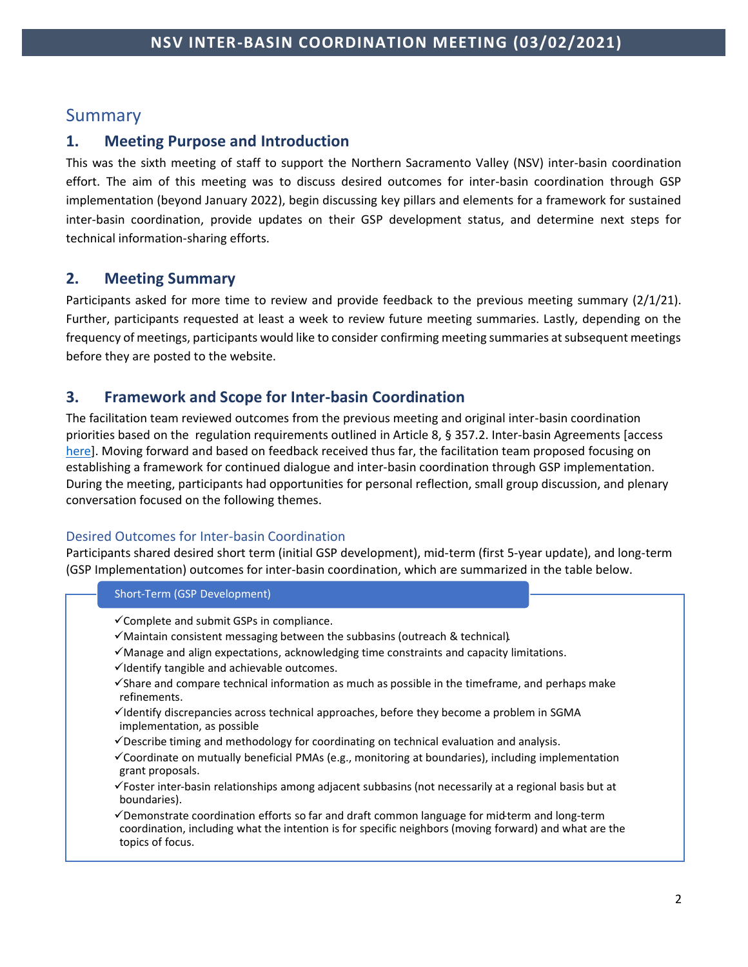## Summary

### **1. Meeting Purpose and Introduction**

This was the sixth meeting of staff to support the Northern Sacramento Valley (NSV) inter-basin coordination effort. The aim of this meeting was to discuss desired outcomes for inter-basin coordination through GSP implementation (beyond January 2022), begin discussing key pillars and elements for a framework for sustained inter-basin coordination, provide updates on their GSP development status, and determine next steps for technical information-sharing efforts.

## **2. Meeting Summary**

Participants asked for more time to review and provide feedback to the previous meeting summary (2/1/21). Further, participants requested at least a week to review future meeting summaries. Lastly, depending on the frequency of meetings, participants would like to consider confirming meeting summaries at subsequent meetings before they are posted to the website.

## **3. Framework and Scope for Inter-basin Coordination**

The facilitation team reviewed outcomes from the previous meeting and original inter-basin coordination priorities based on the regulation requirements outlined in Article 8, § 357.2. Inter-basin Agreements [access [here\]](https://groundwaterexchange.org/wp-content/uploads/2018/07/GSP-Regs-Art-8-Interagency-Agreements.pdf). Moving forward and based on feedback received thus far, the facilitation team proposed focusing on establishing a framework for continued dialogue and inter-basin coordination through GSP implementation. During the meeting, participants had opportunities for personal reflection, small group discussion, and plenary conversation focused on the following themes.

### Desired Outcomes for Inter-basin Coordination

Participants shared desired short term (initial GSP development), mid-term (first 5-year update), and long-term (GSP Implementation) outcomes for inter-basin coordination, which are summarized in the table below.

### Short-Term (GSP Development)

- ✓Complete and submit GSPs in compliance.
- ✓Maintain consistent messaging between the subbasins (outreach & technical).
- $\checkmark$  Manage and align expectations, acknowledging time constraints and capacity limitations.
- $\checkmark$ Identify tangible and achievable outcomes.
- ✓Share and compare technical information as much as possible in the timeframe, and perhaps make refinements.
- ✓Identify discrepancies across technical approaches, before they become a problem in SGMA implementation, as possible
- $\checkmark$  Describe timing and methodology for coordinating on technical evaluation and analysis.
- ✓Coordinate on mutually beneficial PMAs (e.g., monitoring at boundaries), including implementation grant proposals.
- ✓Foster inter-basin relationships among adjacent subbasins (not necessarily at a regional basis but at boundaries).
- ✓Demonstrate coordination efforts so far and draft common language for mid-term and long-term coordination, including what the intention is for specific neighbors (moving forward) and what are the topics of focus.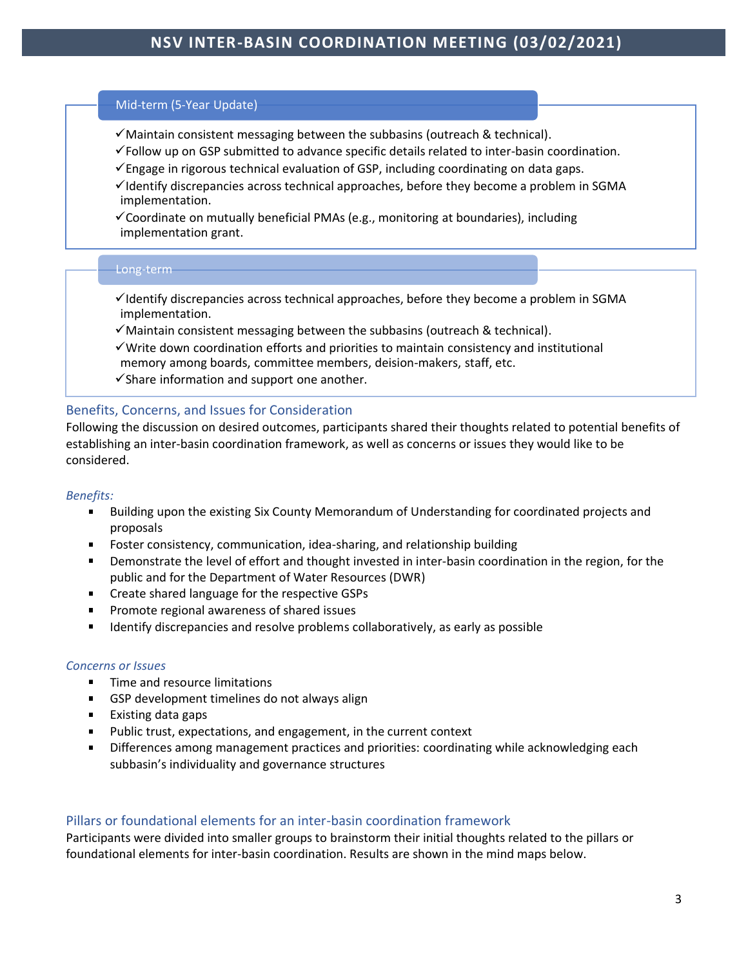#### Mid-term (5-Year Update)

- ✓Maintain consistent messaging between the subbasins (outreach & technical).
- ✓Follow up on GSP submitted to advance specific details related to inter-basin coordination.
- $\checkmark$  Engage in rigorous technical evaluation of GSP, including coordinating on data gaps.
- $\checkmark$ Identify discrepancies across technical approaches, before they become a problem in SGMA implementation.
- $\checkmark$  Coordinate on mutually beneficial PMAs (e.g., monitoring at boundaries), including implementation grant.

#### Long-term

- $\checkmark$ Identify discrepancies across technical approaches, before they become a problem in SGMA implementation.
- $\checkmark$  Maintain consistent messaging between the subbasins (outreach & technical).
- ✓Write down coordination efforts and priorities to maintain consistency and institutional memory among boards, committee members, deision-makers, staff, etc.
- $\checkmark$  Share information and support one another.

### Benefits, Concerns, and Issues for Consideration

Following the discussion on desired outcomes, participants shared their thoughts related to potential benefits of establishing an inter-basin coordination framework, as well as concerns or issues they would like to be considered.

#### *Benefits:*

- Building upon the existing Six County Memorandum of Understanding for coordinated projects and  $\blacksquare$ proposals
- Foster consistency, communication, idea-sharing, and relationship building
- Demonstrate the level of effort and thought invested in inter-basin coordination in the region, for the public and for the Department of Water Resources (DWR)
- **EXECT** Create shared language for the respective GSPs
- Promote regional awareness of shared issues
- Identify discrepancies and resolve problems collaboratively, as early as possible

#### *Concerns or Issues*

- Time and resource limitations  $\blacksquare$
- **GSP** development timelines do not always align
- Existing data gaps
- Public trust, expectations, and engagement, in the current context  $\blacksquare$
- Differences among management practices and priorities: coordinating while acknowledging each subbasin's individuality and governance structures

### Pillars or foundational elements for an inter-basin coordination framework

Participants were divided into smaller groups to brainstorm their initial thoughts related to the pillars or foundational elements for inter-basin coordination. Results are shown in the mind maps below.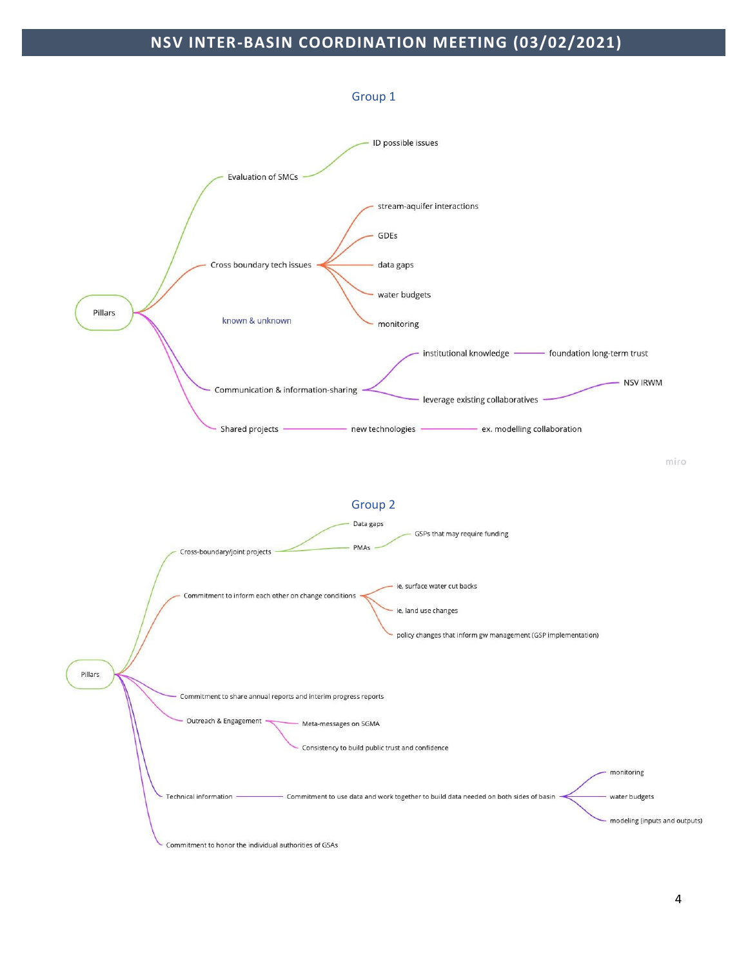# **NSV INTER-BASIN COORDINATION MEETING (03/02/2021)**

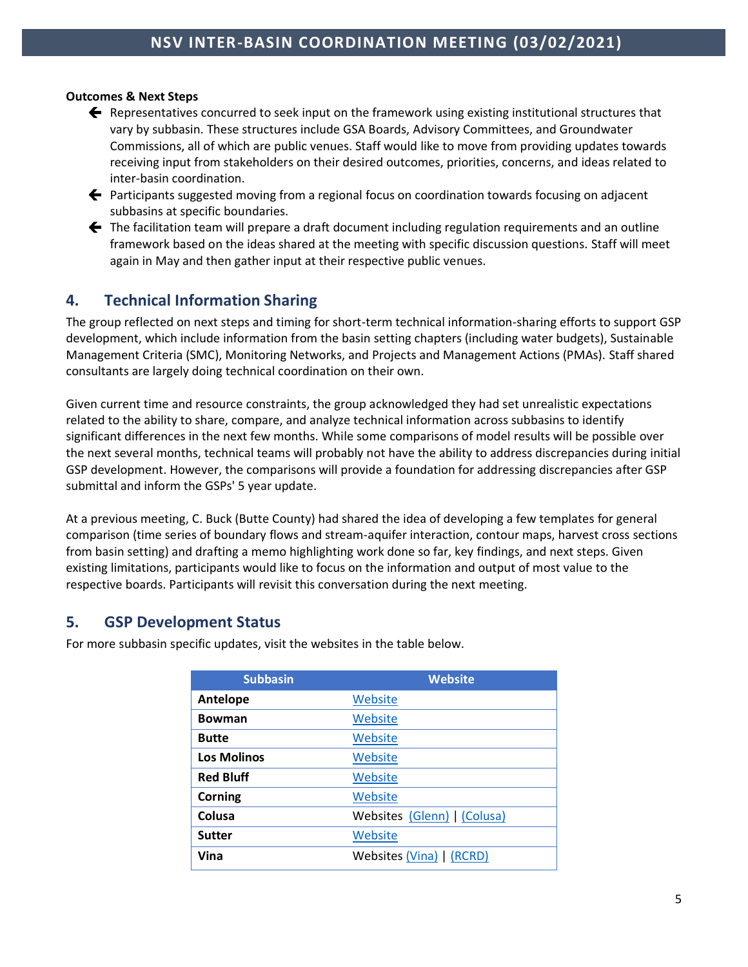### **Outcomes & Next Steps**

- $\blacklozenge$  Representatives concurred to seek input on the framework using existing institutional structures that vary by subbasin. These structures include GSA Boards, Advisory Committees, and Groundwater Commissions, all of which are public venues. Staff would like to move from providing updates towards receiving input from stakeholders on their desired outcomes, priorities, concerns, and ideas related to inter-basin coordination.
- ← Participants suggested moving from a regional focus on coordination towards focusing on adjacent subbasins at specific boundaries.
- $\blacklozenge$  The facilitation team will prepare a draft document including regulation requirements and an outline framework based on the ideas shared at the meeting with specific discussion questions. Staff will meet again in May and then gather input at their respective public venues.

## **4. Technical Information Sharing**

The group reflected on next steps and timing for short-term technical information-sharing efforts to support GSP development, which include information from the basin setting chapters (including water budgets), Sustainable Management Criteria (SMC), Monitoring Networks, and Projects and Management Actions (PMAs). Staff shared consultants are largely doing technical coordination on their own.

Given current time and resource constraints, the group acknowledged they had set unrealistic expectations related to the ability to share, compare, and analyze technical information across subbasins to identify significant differences in the next few months. While some comparisons of model results will be possible over the next several months, technical teams will probably not have the ability to address discrepancies during initial GSP development. However, the comparisons will provide a foundation for addressing discrepancies after GSP submittal and inform the GSPs' 5 year update.

At a previous meeting, C. Buck (Butte County) had shared the idea of developing a few templates for general comparison (time series of boundary flows and stream-aquifer interaction, contour maps, harvest cross sections from basin setting) and drafting a memo highlighting work done so far, key findings, and next steps. Given existing limitations, participants would like to focus on the information and output of most value to the respective boards. Participants will revisit this conversation during the next meeting.

## **5. GSP Development Status**

For more subbasin specific updates, visit the websites in the table below.

| <b>Subbasin</b>    | <b>Website</b>              |
|--------------------|-----------------------------|
| Antelope           | Website                     |
| <b>Bowman</b>      | Website                     |
| <b>Butte</b>       | Website                     |
| <b>Los Molinos</b> | Website                     |
| <b>Red Bluff</b>   | Website                     |
| Corning            | Website                     |
| Colusa             | Websites (Glenn)   (Colusa) |
| <b>Sutter</b>      | Website                     |
| Vina               | Websites (Vina)   (RCRD)    |